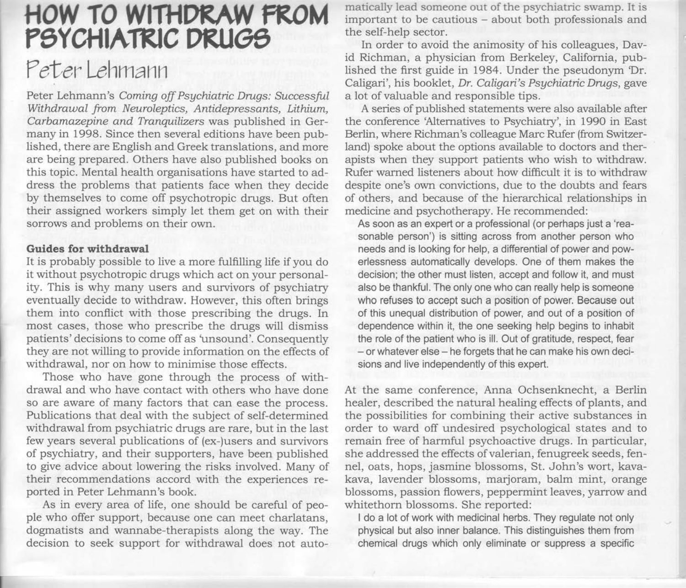# HOW TO WITHDRAW FROM PSYCHIATRIC DRUGS Peter Lehmann

Peter Lehmann's Coming off Psgchiatric Drugs: Successful Withdrawal from Neuroleptics, Antidepressants, Lithium, Carbamazepine and Tranquilizers was published in Germany in 1998. Since then several editions have been published, there are English and Greek translations, and more are being prepared. Others have also published books on this topic. Mental health organisations have started to address the problems that patients face when they decide by themselves to come off psychotropic drugs. But often their assigned workers simply let them get on with their sorrows and problems on their own.

## Guides for withdrawal

It is probably possible to live a more fulfilling life if you do it without psychotropic drugs which act on your personality. This is why many users and survivors of psychiatry eventually decide to withdraw. However, this often brings them into conflict with those prescribing the drugs. In most cases, those who prescribe the drugs will dismiss patients' decisions to come off as 'unsound'. Consequently they are not willing to provide information on the effects of withdrawal, nor on how to minimise those effects.

Those who have gone through the process of withdrawal and who have contact with others who have done so are aware of many factors that can ease the process. Publications that deal with the subject of self-determined withdrawal from psychiatric drugs are rare, but in the last few years several publications of (ex-)users and survivors of psychiatry, and their supporters, have been published to give advice about lowering the risks involved. Many of their recommendations accord with the experiences reported in Peter Lehmann's book.

As in every area of life, one should be careful of people who offer support, because one can meet charlatans, dogmatists and wannabe-therapists along the way. The decision to seek support for withdrawal does not automatically lead someone out of the psychiatric swamp. It is important to be cautious - about both professionals and the self-help sector.

In order to avoid the animosity of his colleagues, David Richman, a physician from Berkeley, California, published the first guide in 1984. Under the pseudonym 'Dr. Caligari', his booklet, Dr. Caligari's Psgchiatric Drugs, gave a lot of valuable and responsible tips.

A series of published statements were also available after the conference 'Alternatives to Psychiatry', in L99O in East Berlin, where Richman's colleague Marc Rufer (from Switzerland) spoke about the options available to doctors and therapists when they support patients who wish to withdraw. Rufer wamed listeners about how difficult it is to withdraw despite one's own convictions, due to the doubts and fears of others, and because of the hierarchical relationships in medicine and psychotherapy. He recommended:

As soon as an expert or a professional (or perhaps just a 'reasonable person') is sitting across from another person who needs and is looking for help, a differential of power and powerlessness automatically develops. One of them makes the decision; the other must listen, accept and follow it, and must also be thankful. The only one who can really help is someone who refuses to accept such a position of power. Because out of this unequal distribution of power, and out of a position of dependence within it, the one seeking help begins to inhabit the role of the patient who is ill. Out of gratitude, respect, fear - or whatever else - he forgets that he can make his own decisions and live independently of this expert.

At the same conference, Anna Ochsenknecht, a Berlin healer, described the natural healing effects of plants, and the possibilities for combining their active substances in order to ward off undesired psychological states and to remain free of harmful psychoactive drugs. In particular, she addressed the effects of valerian, fenugreek seeds, fennel, oats, hops, jasmine blossoms, St. John's wort, kavakava, lavender blossoms, marjoram, balm mint, orange blossoms, passion flowers, peppermint leaves, yarrow and whitethorn blossoms. She reported:

I do a lot of work with medicinal herbs. They regulate not only physical but also inner balance. This distinguishes them from chemical drugs which only eliminate or suppress a specific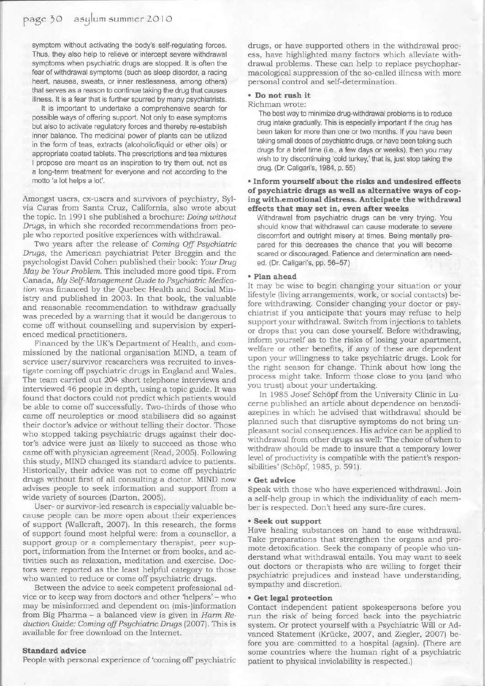symptom without activating the body's self-regulating forces. Thus, they also help to relieve or intercept severe withdrawal symptoms when psychiatric drugs are stopped. lt is often the fear of withdrawal symptoms (such as sleep disorder, a racing heart, nausea, sweats, or inner restlessness, among others) that serves as a reason to continue taking the drug that causes illness. It is a fear that is further spurred by many psychiatrists.

It is important to undertake a comorehensive search for possible ways of offering support. Not only to ease symptoms but also to activate regulatory forces and thereby re-establish inner balance. The medicinal power of plants can be utilized in the form of teas, extracts (alcoholic/liquid or ether oils) or appropriate coated tablets. The prescriptions and tea mixtures I propose are meant as an inspiration to try them out, not as a long-term treatment for everyone and not according to the motto'a lot helps a lot'.

Amongst users, ex-users and survivors of psychiatry, Sylvia Caras from Santa Cruz, California, also wrote about the topic. In 1991 she published a brochure: Doing without Drugs, in which she recorded recommendations from people who reported positive experiences with withdrawal.

Two years after the release of Coming Off Psychiatric Drugs, the American psychiatrist Peter Breggin and the psychologist David Cohen published their book: Your Drug Mag be Your Problem. This included more good tips. From Canada, Mg Self-Management Guide to Psgchiatric Medication was financed by the Quebec Health and Social Ministry and published in 2003. In that book, the valuable and reasonable recommendation to withdraw gradually was preceded by a warning that it would be dangerous to come off without counselling and supervision by experienced medical practitioners.

Financed by the UK's Department of Health, and commissioned by the national organisation MIND, a team of service user/survivor researchers was recruited to investigate coming off psychiatric drugs in England and Wales. The team carried out 2O4 short telephone interviews and interviewed 46 people in depth, using a topic guide. It was found that doctors could not predict which patients would be able to come off successfully. Two-thirds of those who came off neuroleptics or mood stabilisers did so against their doctor's advice or without telling their doctor. Those who stopped taking psychiatric drugs against their doctor's advice were just as likely to succeed as those who came off with physician agreement (Read, 2005). Following this study, MIND changed its standard advice to patients. Historically, their advice was not to come off psychiatric drugs without first of all consulting a doctor. MIND now advises people to seek information and support from a wide variety of sources (Darton, 2005).

User- or survivor-led research is especially valuable because people can be more open about their experiences of support (Wallcraft, 2OO7). In this research, the forms of support found most helpful were: from a counsellor, a support group or a complementary therapist, peer support, information from the Internet or from books, and activities such as relaxation, meditation and exercise. Doctors were reported as the least helpful category to those who wanted to reduce or come off psychiatric drugs.

Between the advice to seek competent professional advice or to keep way from doctors and other 'helpers'- who may be misinformed and dependent on (mis-)information from Big Pharma - a balanced view is given in Harm Reduction Guide: Coming off Psychiatric Drugs (2007). This is available for free download on the Internet.

## Standard advice

People with personal experience of 'coming off psychiatric

drugs, or have supported others in the withdrawal process, have highlighted many factors which alleviate withdrawal probiems. These can help to replace psychopharmacological suppression of the so-called illness with more personal control and self-determination.

#### o Do not rush it

Richman wrote:

The best way to minimize drug-withdrawal problems is to reduce drug intake gradually. This is especially important if the drug has been taken for more than one or two months. lf you have been taking small doses of psychiatric drugs, or have been taking such drugs for a brief time (i.e., a few days or weeks), then you may wish to try discontinuing 'cold turkey,' that is, just stop taking the drug. (Dr. Caligari's, 1984, p. 55)

# . Inform yourselfabout the risks and undesired effects of psychiatric drugs as well as alternative ways of coping with emotional distress. Anticipate the withdrawal effects that may set in, even after weeks

Withdrawal from psychiatric drugs can be very trying. You should know that withdrawal can cause moderate to severe discomfort and outright misery at times. Being mentally prepared for this decreases the chance that you will become scared or discouraged. Patience and determination are needed. (Dr. Caligari's, pp. 56-57)

## . Plan ahead

It may be wise to begin changing your situation or your lifestyle (living arrangements, work, or social contacts) before withdrawing. Consider changing your doctor or psychiatrist if you anticipate that yours may refuse to help support vour withdrawal. Switch from injections to tablets or drops that you can dose yourself. Before withdrawing, inform yourself as to the risks of losing your apartment, welfare or other benefits, if any of these are dependent upon your willingness to take psychiatric drugs. Look for the right season for change. Think about how long the process might take. Inform those close to you (and who you trust) about your undertaking.

In 1985 Josef Schöpf from the University Clinic in Lucerne pubiished an article about dependence on benzodiazepines in which he advised that withdrawal should be planned such that disruptive symptoms do not bring unpleasant social consequences. His advice can be applied to withdrawal from other drugs as well: The choice of when to withdraw should be made to insure that a temporary lower level of productivity is compatible with the patient's responsibilities' (Schöpf, 1985, p. 59 1).

#### . Get advice

Speak with those who have experienced withdrawal. Join a self-help group in which the individuality of each member is respected. Don't heed any sure-fire cures.

#### . Seek out support

Have healing substances on hand to ease withdrawal. Take preparations that strengthen the organs and promote detoxification. Seek the company of people who understand what withdrawal entails. You may want to seek out doctors or therapists who are willing to forget their psychiatric prejudices and instead have understanding, sympathy and discretion.

## . Get legal protection

Contact independent patient spokespersons before you run the risk of being forced back into the psychiatric system. Or protect yourself with a Psychiatric Will or Advanced Statement (Krücke, 2007, and Ziegler, 2007) before you are committed to a hospital (again). (There are some countries where the human right of a psychiatric patient to physical inviolability is respected.)